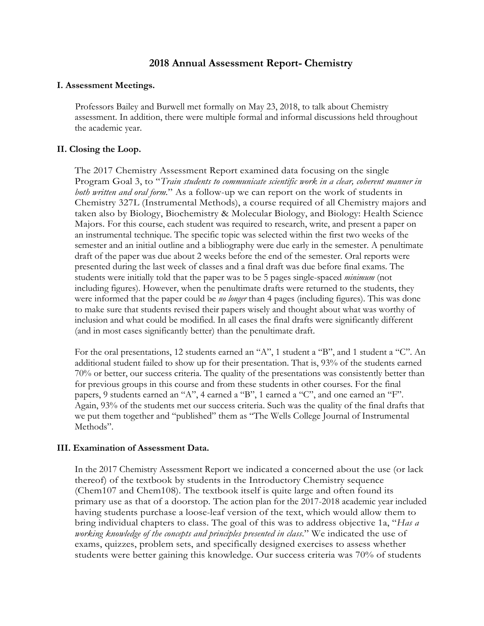# **2018 Annual Assessment Report- Chemistry**

#### **I. Assessment Meetings.**

Professors Bailey and Burwell met formally on May 23, 2018, to talk about Chemistry assessment. In addition, there were multiple formal and informal discussions held throughout the academic year.

## **II. Closing the Loop.**

The 2017 Chemistry Assessment Report examined data focusing on the single Program Goal 3, to "*Train students to communicate scientific work in a clear, coherent manner in both written and oral form.*" As a follow-up we can report on the work of students in Chemistry 327L (Instrumental Methods), a course required of all Chemistry majors and taken also by Biology, Biochemistry & Molecular Biology, and Biology: Health Science Majors. For this course, each student was required to research, write, and present a paper on an instrumental technique. The specific topic was selected within the first two weeks of the semester and an initial outline and a bibliography were due early in the semester. A penultimate draft of the paper was due about 2 weeks before the end of the semester. Oral reports were presented during the last week of classes and a final draft was due before final exams. The students were initially told that the paper was to be 5 pages single-spaced *minimum* (not including figures). However, when the penultimate drafts were returned to the students, they were informed that the paper could be *no longer* than 4 pages (including figures). This was done to make sure that students revised their papers wisely and thought about what was worthy of inclusion and what could be modified. In all cases the final drafts were significantly different (and in most cases significantly better) than the penultimate draft.

For the oral presentations, 12 students earned an "A", 1 student a "B", and 1 student a "C". An additional student failed to show up for their presentation. That is, 93% of the students earned 70% or better, our success criteria. The quality of the presentations was consistently better than for previous groups in this course and from these students in other courses. For the final papers, 9 students earned an "A", 4 earned a "B", 1 earned a "C", and one earned an "F". Again, 93% of the students met our success criteria. Such was the quality of the final drafts that we put them together and "published" them as "The Wells College Journal of Instrumental Methods".

### **III. Examination of Assessment Data.**

In the 2017 Chemistry Assessment Report we indicated a concerned about the use (or lack thereof) of the textbook by students in the Introductory Chemistry sequence (Chem107 and Chem108). The textbook itself is quite large and often found its primary use as that of a doorstop. The action plan for the 2017-2018 academic year included having students purchase a loose-leaf version of the text, which would allow them to bring individual chapters to class. The goal of this was to address objective 1a, "*Has a working knowledge of the concepts and principles presented in class*." We indicated the use of exams, quizzes, problem sets, and specifically designed exercises to assess whether students were better gaining this knowledge. Our success criteria was 70% of students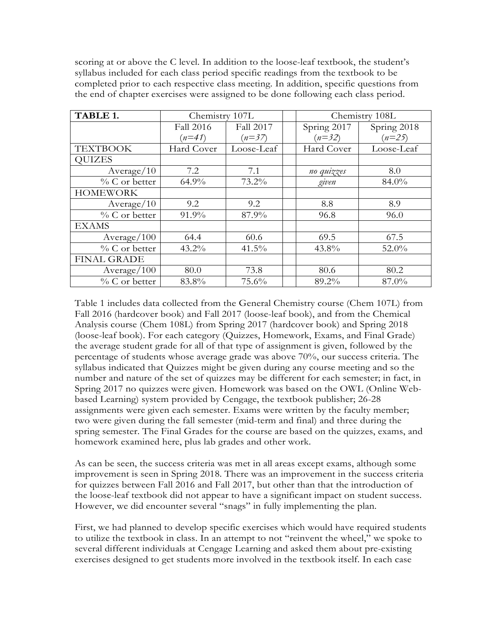scoring at or above the C level. In addition to the loose-leaf textbook, the student's syllabus included for each class period specific readings from the textbook to be completed prior to each respective class meeting. In addition, specific questions from the end of chapter exercises were assigned to be done following each class period.

| TABLE 1.           | Chemistry 107L |            | Chemistry 108L |             |
|--------------------|----------------|------------|----------------|-------------|
|                    | Fall 2016      | Fall 2017  | Spring 2017    | Spring 2018 |
|                    | $(n=41)$       | $(n=37)$   | $(n=32)$       | $(n=25)$    |
| <b>TEXTBOOK</b>    | Hard Cover     | Loose-Leaf | Hard Cover     | Loose-Leaf  |
| <b>QUIZES</b>      |                |            |                |             |
| Average/10         | 7.2            | 7.1        | no quizzes     | 8.0         |
| $\%$ C or better   | $64.9\%$       | 73.2%      | given          | 84.0%       |
| <b>HOMEWORK</b>    |                |            |                |             |
| Average/10         | 9.2            | 9.2        | 8.8            | 8.9         |
| $\%$ C or better   | 91.9%          | 87.9%      | 96.8           | 96.0        |
| <b>EXAMS</b>       |                |            |                |             |
| Average / 100      | 64.4           | 60.6       | 69.5           | 67.5        |
| $\%$ C or better   | $43.2\%$       | $41.5\%$   | 43.8%          | 52.0%       |
| <b>FINAL GRADE</b> |                |            |                |             |
| Average/100        | 80.0           | 73.8       | 80.6           | 80.2        |
| $\%$ C or better   | 83.8%          | 75.6%      | 89.2%          | 87.0%       |

Table 1 includes data collected from the General Chemistry course (Chem 107L) from Fall 2016 (hardcover book) and Fall 2017 (loose-leaf book), and from the Chemical Analysis course (Chem 108L) from Spring 2017 (hardcover book) and Spring 2018 (loose-leaf book). For each category (Quizzes, Homework, Exams, and Final Grade) the average student grade for all of that type of assignment is given, followed by the percentage of students whose average grade was above 70%, our success criteria. The syllabus indicated that Quizzes might be given during any course meeting and so the number and nature of the set of quizzes may be different for each semester; in fact, in Spring 2017 no quizzes were given. Homework was based on the OWL (Online Webbased Learning) system provided by Cengage, the textbook publisher; 26-28 assignments were given each semester. Exams were written by the faculty member; two were given during the fall semester (mid-term and final) and three during the spring semester. The Final Grades for the course are based on the quizzes, exams, and homework examined here, plus lab grades and other work.

As can be seen, the success criteria was met in all areas except exams, although some improvement is seen in Spring 2018. There was an improvement in the success criteria for quizzes between Fall 2016 and Fall 2017, but other than that the introduction of the loose-leaf textbook did not appear to have a significant impact on student success. However, we did encounter several "snags" in fully implementing the plan.

First, we had planned to develop specific exercises which would have required students to utilize the textbook in class. In an attempt to not "reinvent the wheel," we spoke to several different individuals at Cengage Learning and asked them about pre-existing exercises designed to get students more involved in the textbook itself. In each case